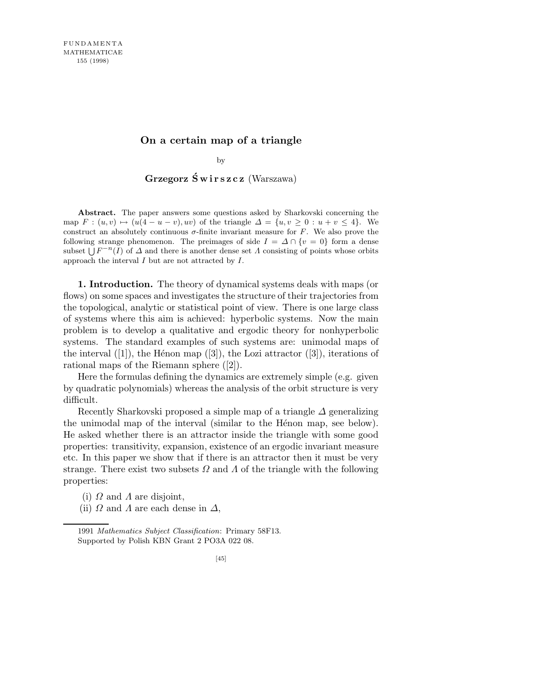## **On a certain map of a triangle**

by

Grzegorz Świrszcz (Warszawa)

**Abstract.** The paper answers some questions asked by Sharkovski concerning the map  $F: (u, v) \mapsto (u(4 - u - v), uv)$  of the triangle  $\Delta = \{u, v \geq 0 : u + v \leq 4\}$ . We construct an absolutely continuous  $\sigma$ -finite invariant measure for *F*. We also prove the following strange phenomenon. The preimages of side  $I = \Delta \cap \{v = 0\}$  form a dense subset  $\bigcup F^{-n}(I)$  of  $\Delta$  and there is another dense set  $\Lambda$  consisting of points whose orbits approach the interval *I* but are not attracted by *I*.

1. Introduction. The theory of dynamical systems deals with maps (or flows) on some spaces and investigates the structure of their trajectories from the topological, analytic or statistical point of view. There is one large class of systems where this aim is achieved: hyperbolic systems. Now the main problem is to develop a qualitative and ergodic theory for nonhyperbolic systems. The standard examples of such systems are: unimodal maps of the interval  $([1])$ , the Hénon map  $([3])$ , the Lozi attractor  $([3])$ , iterations of rational maps of the Riemann sphere ([2]).

Here the formulas defining the dynamics are extremely simple (e.g. given by quadratic polynomials) whereas the analysis of the orbit structure is very difficult.

Recently Sharkovski proposed a simple map of a triangle  $\Delta$  generalizing the unimodal map of the interval (similar to the Hénon map, see below). He asked whether there is an attractor inside the triangle with some good properties: transitivity, expansion, existence of an ergodic invariant measure etc. In this paper we show that if there is an attractor then it must be very strange. There exist two subsets  $\Omega$  and  $\Lambda$  of the triangle with the following properties:

(i)  $\Omega$  and  $\Lambda$  are disjoint,

(ii)  $\Omega$  and  $\Lambda$  are each dense in  $\Delta$ ,

<sup>1991</sup> *Mathematics Subject Classification*: Primary 58F13. Supported by Polish KBN Grant 2 PO3A 022 08.

<sup>[45]</sup>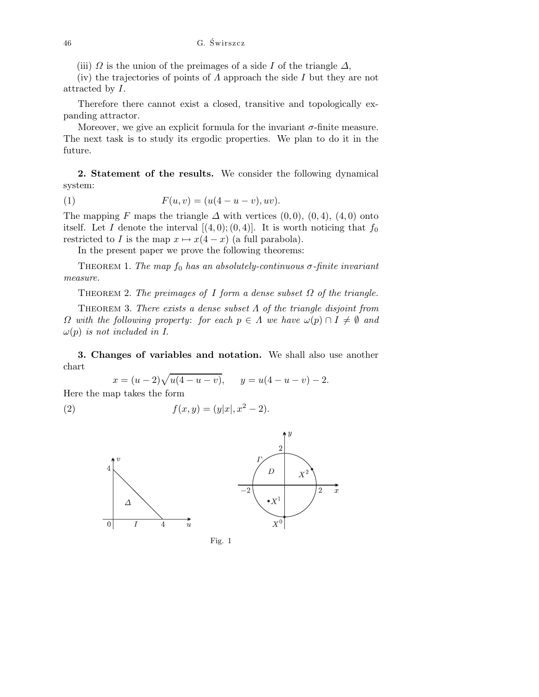(iii)  $\Omega$  is the union of the preimages of a side I of the triangle  $\Delta$ ,

(iv) the trajectories of points of  $\Lambda$  approach the side  $I$  but they are not attracted by I.

Therefore there cannot exist a closed, transitive and topologically expanding attractor.

Moreover, we give an explicit formula for the invariant  $\sigma$ -finite measure. The next task is to study its ergodic properties. We plan to do it in the future.

2. Statement of the results. We consider the following dynamical system:

(1) 
$$
F(u, v) = (u(4 - u - v), uv).
$$

The mapping F maps the triangle  $\Delta$  with vertices (0,0), (0,4), (4,0) onto itself. Let I denote the interval  $[(4,0);(0,4)]$ . It is worth noticing that  $f_0$ restricted to I is the map  $x \mapsto x(4-x)$  (a full parabola).

In the present paper we prove the following theorems:

THEOREM 1. The map  $f_0$  has an absolutely-continuous  $\sigma$ -finite invariant measure.

THEOREM 2. The preimages of I form a dense subset  $\Omega$  of the triangle.

THEOREM 3. There exists a dense subset  $\Lambda$  of the triangle disjoint from  $\Omega$  with the following property: for each  $p \in \Lambda$  we have  $\omega(p) \cap I \neq \emptyset$  and  $\omega(p)$  is not included in I.

3. Changes of variables and notation. We shall also use another chart

$$
x = (u - 2)\sqrt{u(4 - u - v)}, \qquad y = u(4 - u - v) - 2.
$$

Here the map takes the form

(2) 
$$
f(x,y) = (y|x|, x^2 - 2).
$$



Fig. 1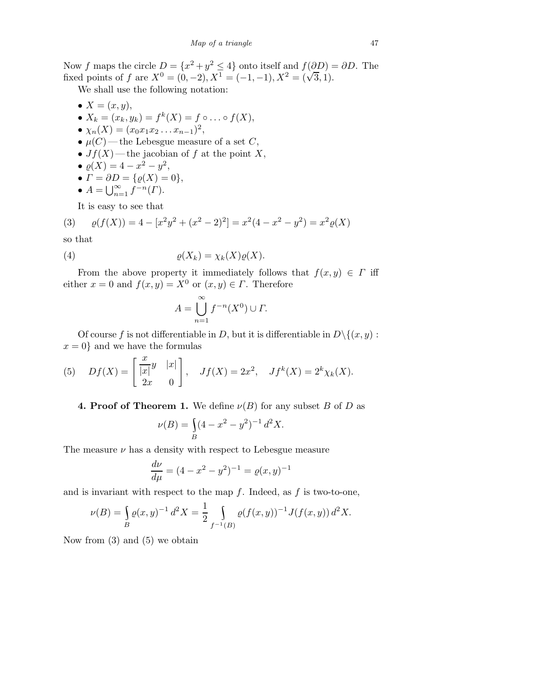Now f maps the circle  $D = \{x^2 + y^2 \le 4\}$  onto itself and  $f(\partial D) = \partial D$ . The fixed points of f are  $X^0 = (0, -2)$ ,  $X^1 = (-1, -1)$ ,  $X^2 = (\sqrt{3}, 1)$ .

We shall use the following notation:

•  $X = (x, y)$ , •  $X_k = (x_k, y_k) = f^k(X) = f \circ \dots \circ f(X),$ •  $\chi_n(X) = (x_0 x_1 x_2 \dots x_{n-1})^2,$ •  $\mu(C)$ —the Lebesgue measure of a set C, •  $Jf(X)$ —the jacobian of f at the point X, •  $\varrho(X) = 4 - x^2 - y^2$ , •  $\Gamma = \partial D = {\varrho(X) = 0},$ •  $A = \bigcup_{n=1}^{\infty} f^{-n}(\Gamma).$ 

It is easy to see that

(3) 
$$
\varrho(f(X)) = 4 - [x^2y^2 + (x^2 - 2)^2] = x^2(4 - x^2 - y^2) = x^2\varrho(X)
$$

so that

(4) 
$$
\varrho(X_k) = \chi_k(X)\varrho(X).
$$

From the above property it immediately follows that  $f(x, y) \in \Gamma$  iff either  $x = 0$  and  $f(x, y) = X^0$  or  $(x, y) \in \Gamma$ . Therefore

$$
A = \bigcup_{n=1}^{\infty} f^{-n}(X^0) \cup \Gamma.
$$

Of course f is not differentiable in D, but it is differentiable in  $D \setminus \{(x, y) :$  $x = 0$  and we have the formulas

(5) 
$$
Df(X) = \begin{bmatrix} \frac{x}{|x|}y & |x| \\ 2x & 0 \end{bmatrix}, \quad Jf(X) = 2x^2, \quad Jf^k(X) = 2^k \chi_k(X).
$$

## **4. Proof of Theorem 1.** We define  $\nu(B)$  for any subset B of D as

$$
\nu(B) = \int_{B} (4 - x^2 - y^2)^{-1} d^2 X.
$$

The measure  $\nu$  has a density with respect to Lebesgue measure

$$
\frac{d\nu}{d\mu} = (4 - x^2 - y^2)^{-1} = \varrho(x, y)^{-1}
$$

and is invariant with respect to the map  $f$ . Indeed, as  $f$  is two-to-one,

$$
\nu(B) = \int_{B} \varrho(x, y)^{-1} d^{2}X = \frac{1}{2} \int_{f^{-1}(B)} \varrho(f(x, y))^{-1} J(f(x, y)) d^{2}X.
$$

Now from (3) and (5) we obtain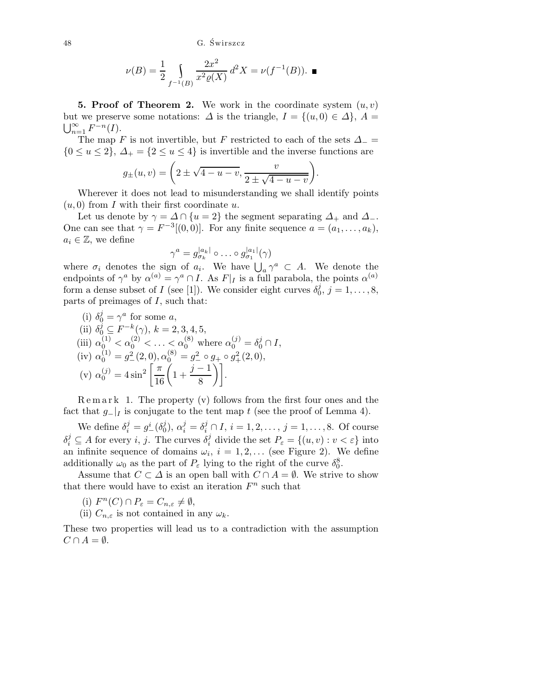48 G. Swirszcz ´

$$
\nu(B) = \frac{1}{2} \int_{f^{-1}(B)} \frac{2x^2}{x^2 \varrho(X)} d^2 X = \nu(f^{-1}(B)).
$$

**5. Proof of Theorem 2.** We work in the coordinate system  $(u, v)$ but we preserve some notations:  $\Delta$  is the triangle,  $I = \{(u, 0) \in \Delta\}$ ,  $A =$  $\sum_{n=1}^{\infty} F^{-n}(I).$ 

The map F is not invertible, but F restricted to each of the sets  $\Delta_-=$  ${0 \le u \le 2}, \Delta_+ = {2 \le u \le 4}$  is invertible and the inverse functions are

$$
g_{\pm}(u,v) = \left(2 \pm \sqrt{4-u-v}, \frac{v}{2 \pm \sqrt{4-u-v}}\right).
$$

Wherever it does not lead to misunderstanding we shall identify points  $(u, 0)$  from I with their first coordinate u.

Let us denote by  $\gamma = \Delta \cap \{u = 2\}$  the segment separating  $\Delta_+$  and  $\Delta_-$ . One can see that  $\gamma = F^{-3}[(0,0)]$ . For any finite sequence  $a = (a_1, \ldots, a_k)$ ,  $a_i \in \mathbb{Z}$ , we define

$$
\gamma^a = g_{\sigma_k}^{|a_k|} \circ \ldots \circ g_{\sigma_1}^{|a_1|}(\gamma)
$$

where  $\sigma_i$  denotes the sign of  $a_i$ . We have  $\bigcup_a \gamma^a \subset A$ . We denote the endpoints of  $\gamma^a$  by  $\alpha^{(a)} = \gamma^a \cap I$ . As  $F|_I$  is a full parabola, the points  $\alpha^{(a)}$ form a dense subset of I (see [1]). We consider eight curves  $\delta_0^j$  $j_0^j, j = 1, \ldots, 8,$ parts of preimages of  $I$ , such that:

(i) 
$$
\delta_0^j = \gamma^a
$$
 for some  $a$ ,  
\n(ii)  $\delta_0^j \subseteq F^{-k}(\gamma)$ ,  $k = 2, 3, 4, 5$ ,  
\n(iii)  $\alpha_0^{(1)} < \alpha_0^{(2)} < \dots < \alpha_0^{(8)}$  where  $\alpha_0^{(j)} = \delta_0^j \cap I$ ,  
\n(iv)  $\alpha_0^{(1)} = g^2 \quad (2, 0), \alpha_0^{(8)} = g^2 \circ g_+ \circ g_+^2(2, 0)$ ,  
\n(v)  $\alpha_0^{(j)} = 4 \sin^2 \left[ \frac{\pi}{16} \left( 1 + \frac{j-1}{8} \right) \right]$ .

 $\text{Remar } k$  1. The property (v) follows from the first four ones and the fact that  $g_{-}|_{I}$  is conjugate to the tent map t (see the proof of Lemma 4).

We define  $\delta_i^j = g_-^i(\delta_0^j)$  $j_0^j$ ,  $\alpha_i^j = \delta_i^j \cap I$ ,  $i = 1, 2, ..., j = 1, ..., 8$ . Of course  $\delta_i^j \subseteq A$  for every i, j. The curves  $\delta_i^j$  divide the set  $P_{\varepsilon} = \{(u, v) : v < \varepsilon\}$  into an infinite sequence of domains  $\omega_i$ ,  $i = 1, 2, \ldots$  (see Figure 2). We define additionally  $\omega_0$  as the part of  $P_\varepsilon$  lying to the right of the curve  $\delta_0^8$ .

Assume that  $C \subset \Delta$  is an open ball with  $C \cap A = \emptyset$ . We strive to show that there would have to exist an iteration  $F<sup>n</sup>$  such that

(i)  $F^n(C) \cap P_{\varepsilon} = C_{n,\varepsilon} \neq \emptyset,$ 

(ii)  $C_{n,\varepsilon}$  is not contained in any  $\omega_k$ .

These two properties will lead us to a contradiction with the assumption  $C \cap A = \emptyset$ .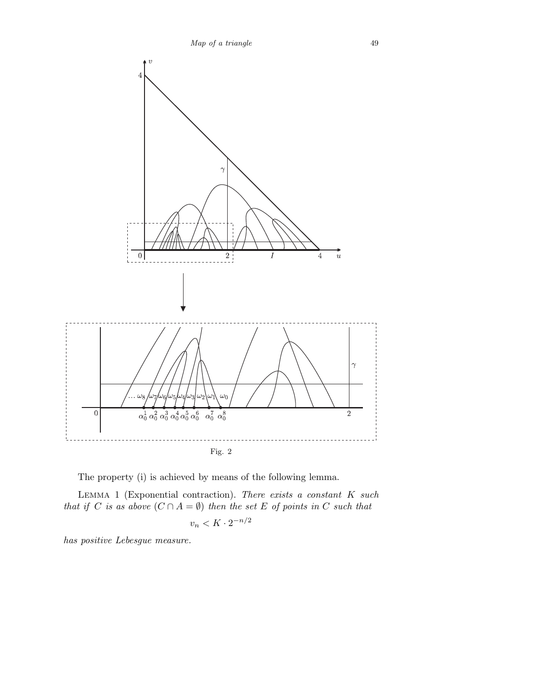

The property (i) is achieved by means of the following lemma.

LEMMA 1 (Exponential contraction). There exists a constant  $K$  such that if C is as above  $(C \cap A = \emptyset)$  then the set E of points in C such that

$$
v_n < K \cdot 2^{-n/2}
$$

has positive Lebesgue measure.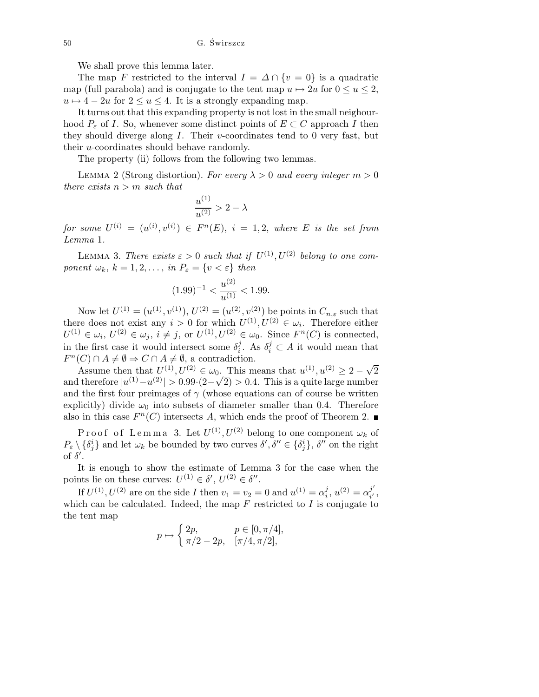We shall prove this lemma later.

The map F restricted to the interval  $I = \Delta \cap \{v = 0\}$  is a quadratic map (full parabola) and is conjugate to the tent map  $u \mapsto 2u$  for  $0 \le u \le 2$ ,  $u \mapsto 4 - 2u$  for  $2 \le u \le 4$ . It is a strongly expanding map.

It turns out that this expanding property is not lost in the small neighourhood  $P_{\varepsilon}$  of I. So, whenever some distinct points of  $E \subset C$  approach I then they should diverge along  $I$ . Their v-coordinates tend to 0 very fast, but their u-coordinates should behave randomly.

The property (ii) follows from the following two lemmas.

LEMMA 2 (Strong distortion). For every  $\lambda > 0$  and every integer  $m > 0$ there exists  $n > m$  such that

$$
\frac{u^{(1)}}{u^{(2)}} > 2-\lambda
$$

 $for \; some \; U^{(i)} \,=\, (u^{(i)}, v^{(i)}) \,\in\, F^n(E), \; i \,=\, 1, 2, \; where \; \, E \; \; is \; the \; set \; from$ Lemma 1.

LEMMA 3. There exists  $\varepsilon > 0$  such that if  $U^{(1)}$ ,  $U^{(2)}$  belong to one component  $\omega_k$ ,  $k = 1, 2, \ldots$ , in  $P_{\varepsilon} = \{v < \varepsilon\}$  then

$$
(1.99)^{-1} < \frac{u^{(2)}}{u^{(1)}} < 1.99.
$$

Now let  $U^{(1)} = (u^{(1)}, v^{(1)}), U^{(2)} = (u^{(2)}, v^{(2)})$  be points in  $C_{n,\varepsilon}$  such that there does not exist any  $i > 0$  for which  $U^{(1)}, U^{(2)} \in \omega_i$ . Therefore either  $U^{(1)} \in \omega_i, U^{(2)} \in \omega_j, i \neq j$ , or  $U^{(1)}, U^{(2)} \in \omega_0$ . Since  $F^n(C)$  is connected, in the first case it would intersect some  $\delta_i^j$  $i_i^j$ . As  $\delta_i^j \subset A$  it would mean that  $F^n(C) \cap A \neq \emptyset \Rightarrow C \cap A \neq \emptyset$ , a contradiction.

Assume then that  $U^{(1)}, U^{(2)} \in \omega_0$ . This means that  $u^{(1)}, u^{(2)} \geq 2 - \sqrt{2}$ and therefore  $|u^{(1)}-u^{(2)}|>0.99\cdot(2-\sqrt{2})>0.4$ . This is a quite large number and the first four preimages of  $\gamma$  (whose equations can of course be written explicitly) divide  $\omega_0$  into subsets of diameter smaller than 0.4. Therefore also in this case  $F<sup>n</sup>(C)$  intersects A, which ends the proof of Theorem 2.

Proof of Lemma 3. Let  $U^{(1)}$ ,  $U^{(2)}$  belong to one component  $\omega_k$  of  $P_{\varepsilon}\setminus\{\delta_j^i\}$  and let  $\omega_k$  be bounded by two curves  $\delta',\delta''\in\{\delta_j^i\},\delta''$  on the right of  $\delta'$ .

It is enough to show the estimate of Lemma 3 for the case when the points lie on these curves:  $U^{(1)} \in \delta', U^{(2)} \in \delta''.$ 

If  $U^{(1)}$ ,  $U^{(2)}$  are on the side I then  $v_1 = v_2 = 0$  and  $u^{(1)} = \alpha_i^j$  $i^{j}, u^{(2)} = \alpha_{i'}^{j'}$  $_{i^{\prime }}^{\jmath }$  , which can be calculated. Indeed, the map  $F$  restricted to  $I$  is conjugate to the tent map

$$
p \mapsto \begin{cases} 2p, & p \in [0, \pi/4], \\ \pi/2 - 2p, & [\pi/4, \pi/2], \end{cases}
$$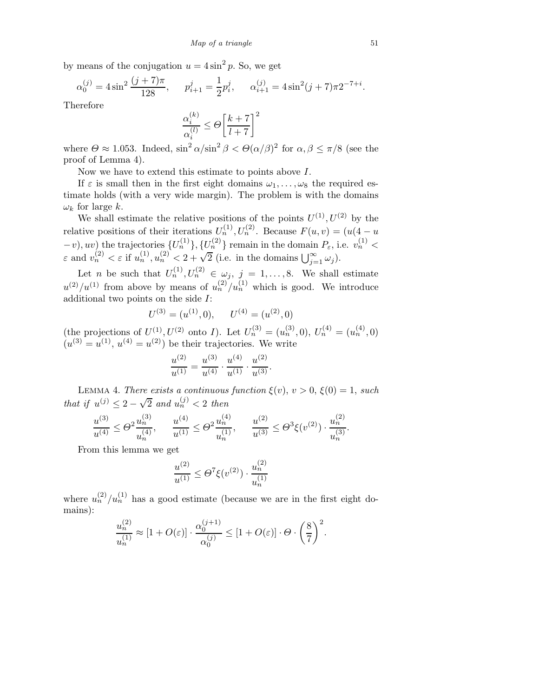by means of the conjugation  $u = 4\sin^2 p$ . So, we get

$$
\alpha_0^{(j)} = 4\sin^2\frac{(j+7)\pi}{128}, \qquad p_{i+1}^j = \frac{1}{2}p_i^j, \qquad \alpha_{i+1}^{(j)} = 4\sin^2(j+7)\pi 2^{-7+i}.
$$

Therefore

$$
\frac{\alpha_i^{(k)}}{\alpha_i^{(l)}}\leq \varTheta\bigg[\frac{k+7}{l+7}\bigg]^2
$$

where  $\Theta \approx 1.053$ . Indeed,  $\sin^2 \alpha / \sin^2 \beta < \Theta(\alpha / \beta)^2$  for  $\alpha, \beta \le \pi / 8$  (see the proof of Lemma 4).

Now we have to extend this estimate to points above I.

If  $\varepsilon$  is small then in the first eight domains  $\omega_1, \ldots, \omega_8$  the required estimate holds (with a very wide margin). The problem is with the domains  $\omega_k$  for large k.

We shall estimate the relative positions of the points  $U^{(1)}, U^{(2)}$  by the relative positions of their iterations  $U_n^{(1)}, U_n^{(2)}$ . Because  $F(u, v) = (u(4 - u))$  $(v_1, v_2)$  the trajectories  $\{U_n^{(1)}\}, \{U_n^{(2)}\}$  remain in the domain  $P_{\varepsilon}$ , i.e.  $v_n^{(1)}$  <  $\varepsilon$  and  $v_n^{(2)} < \varepsilon$  if  $u_n^{(1)}, u_n^{(2)} < 2 + \sqrt{2}$  (i.e. in the domains  $\bigcup_{j=1}^{\infty} \omega_j$ ).

Let *n* be such that  $U_n^{(1)}, U_n^{(2)} \in \omega_j$ ,  $j = 1, \ldots, 8$ . We shall estimate  $u^{(2)}/u^{(1)}$  from above by means of  $u_n^{(2)}/u_n^{(1)}$  which is good. We introduce additional two points on the side I:

$$
U^{(3)} = (u^{(1)}, 0), \qquad U^{(4)} = (u^{(2)}, 0)
$$

(the projections of  $U^{(1)}, U^{(2)}$  onto I). Let  $U_n^{(3)} = (u_n^{(3)}, 0), U_n^{(4)} = (u_n^{(4)}, 0)$  $(u^{(3)} = u^{(1)}, u^{(4)} = u^{(2)})$  be their trajectories. We write

$$
\frac{u^{(2)}}{u^{(1)}} = \frac{u^{(3)}}{u^{(4)}} \cdot \frac{u^{(4)}}{u^{(1)}} \cdot \frac{u^{(2)}}{u^{(3)}}.
$$

LEMMA 4. There exists a continuous function  $\xi(v)$ ,  $v > 0$ ,  $\xi(0) = 1$ , such that if  $u^{(j)} \leq 2 - \sqrt{2}$  and  $u_n^{(j)} < 2$  then

$$
\frac{u^{(3)}}{u^{(4)}}\leq \Theta^2\frac{u_n^{(3)}}{u_n^{(4)}},\quad \ \frac{u^{(4)}}{u^{(1)}}\leq \Theta^2\frac{u_n^{(4)}}{u_n^{(1)}},\quad \ \frac{u^{(2)}}{u^{(3)}}\leq \Theta^3\xi(v^{(2)})\cdot\frac{u_n^{(2)}}{u_n^{(3)}}.
$$

From this lemma we get

$$
\frac{u^{(2)}}{u^{(1)}} \le \Theta^7 \xi(v^{(2)}) \cdot \frac{u_n^{(2)}}{u_n^{(1)}}
$$

where  $u_n^{(2)}/u_n^{(1)}$  has a good estimate (because we are in the first eight domains):

$$
\frac{u_n^{(2)}}{u_n^{(1)}} \approx [1 + O(\varepsilon)] \cdot \frac{\alpha_0^{(j+1)}}{\alpha_0^{(j)}} \le [1 + O(\varepsilon)] \cdot \Theta \cdot \left(\frac{8}{7}\right)^2.
$$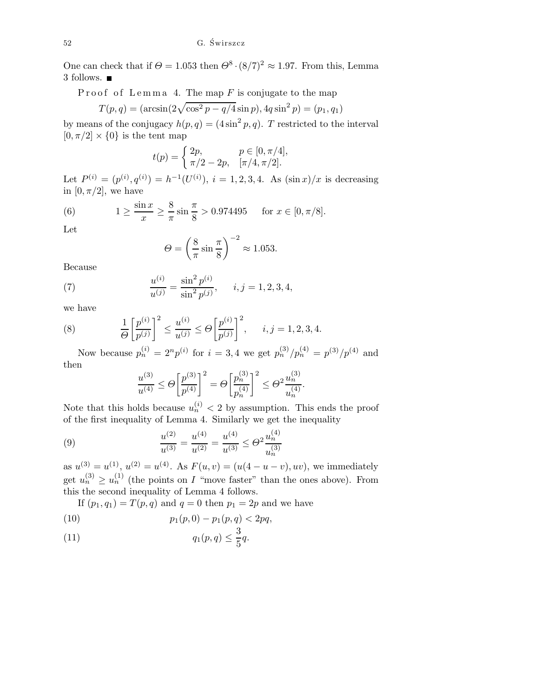One can check that if  $\Theta = 1.053$  then  $\Theta^8 \cdot (8/7)^2 \approx 1.97$ . From this, Lemma 3 follows.

Proof of Lemma 4. The map  $F$  is conjugate to the map

$$
T(p,q) = (\arcsin(2\sqrt{\cos^2 p - q/4}\sin p), 4q\sin^2 p) = (p_1, q_1)
$$

by means of the conjugacy  $h(p,q) = (4\sin^2 p, q)$ . T restricted to the interval  $[0, \pi/2] \times \{0\}$  is the tent map

$$
t(p) = \begin{cases} 2p, & p \in [0, \pi/4], \\ \pi/2 - 2p, & [\pi/4, \pi/2]. \end{cases}
$$

Let  $P^{(i)} = (p^{(i)}, q^{(i)}) = h^{-1}(U^{(i)}), i = 1, 2, 3, 4$ . As  $(\sin x)/x$  is decreasing in  $[0, \pi/2]$ , we have

(6) 
$$
1 \ge \frac{\sin x}{x} \ge \frac{8}{\pi} \sin \frac{\pi}{8} > 0.974495 \quad \text{for } x \in [0, \pi/8].
$$

Let

$$
\Theta = \left(\frac{8}{\pi} \sin \frac{\pi}{8}\right)^{-2} \approx 1.053.
$$

Because

(7) 
$$
\frac{u^{(i)}}{u^{(j)}} = \frac{\sin^2 p^{(i)}}{\sin^2 p^{(j)}}, \quad i, j = 1, 2, 3, 4,
$$

we have

(8) 
$$
\frac{1}{\Theta} \left[ \frac{p^{(i)}}{p^{(j)}} \right]^2 \le \frac{u^{(i)}}{u^{(j)}} \le \Theta \left[ \frac{p^{(i)}}{p^{(j)}} \right]^2, \quad i, j = 1, 2, 3, 4.
$$

Now because  $p_n^{(i)} = 2^n p^{(i)}$  for  $i = 3, 4$  we get  $p_n^{(3)}/p_n^{(4)} = p^{(3)}/p^{(4)}$  and then

$$
\frac{u^{(3)}}{u^{(4)}} \le \Theta \left[ \frac{p^{(3)}}{p^{(4)}} \right]^2 = \Theta \left[ \frac{p_n^{(3)}}{p_n^{(4)}} \right]^2 \le \Theta^2 \frac{u_n^{(3)}}{u_n^{(4)}}.
$$

Note that this holds because  $u_n^{(i)} < 2$  by assumption. This ends the proof of the first inequality of Lemma 4. Similarly we get the inequality

(9) 
$$
\frac{u^{(2)}}{u^{(3)}} = \frac{u^{(4)}}{u^{(2)}} = \frac{u^{(4)}}{u^{(3)}} \le \Theta^2 \frac{u_n^{(4)}}{u_n^{(3)}}
$$

as  $u^{(3)} = u^{(1)}$ ,  $u^{(2)} = u^{(4)}$ . As  $F(u, v) = (u(4 - u - v), uv)$ , we immediately get  $u_n^{(3)} \ge u_n^{(1)}$  (the points on I "move faster" than the ones above). From this the second inequality of Lemma 4 follows.

If  $(p_1, q_1) = T(p, q)$  and  $q = 0$  then  $p_1 = 2p$  and we have

(10) 
$$
p_1(p,0) - p_1(p,q) < 2pq,
$$

$$
(11) \t\t q_1(p,q) \leq \frac{3}{5}q.
$$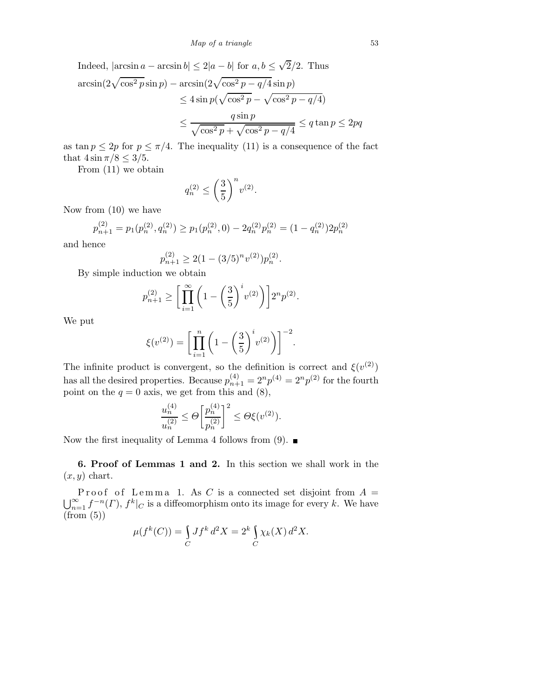Indeed, 
$$
|\arcsin a - \arcsin b| \leq 2|a - b|
$$
 for  $a, b \leq \sqrt{2}/2$ . Thus  
\n
$$
\arcsin(2\sqrt{\cos^2 p} \sin p) - \arcsin(2\sqrt{\cos^2 p - q/4} \sin p)
$$
\n
$$
\leq 4 \sin p(\sqrt{\cos^2 p} - \sqrt{\cos^2 p - q/4})
$$
\n
$$
\leq \frac{q \sin p}{\sqrt{\cos^2 p} + \sqrt{\cos^2 p - q/4}} \leq q \tan p \leq 2pq
$$

as tan  $p \leq 2p$  for  $p \leq \pi/4$ . The inequality (11) is a consequence of the fact that  $4\sin \pi/8 \leq 3/5$ .

From (11) we obtain

$$
q_n^{(2)}\leq \left(\frac{3}{5}\right)^n v^{(2)}.
$$

Now from (10) we have

$$
p_{n+1}^{(2)} = p_1(p_n^{(2)}, q_n^{(2)}) \ge p_1(p_n^{(2)}, 0) - 2q_n^{(2)}p_n^{(2)} = (1 - q_n^{(2)})2p_n^{(2)}
$$

and hence

$$
p_{n+1}^{(2)} \ge 2(1 - (3/5)^n v^{(2)}) p_n^{(2)}.
$$

By simple induction we obtain

$$
p_{n+1}^{(2)} \ge \left[ \prod_{i=1}^{\infty} \left( 1 - \left( \frac{3}{5} \right)^i v^{(2)} \right) \right] 2^n p^{(2)}.
$$

We put

$$
\xi(v^{(2)}) = \left[ \prod_{i=1}^{n} \left( 1 - \left( \frac{3}{5} \right)^{i} v^{(2)} \right) \right]^{-2}.
$$

The infinite product is convergent, so the definition is correct and  $\xi(v^{(2)})$ has all the desired properties. Because  $p_{n+1}^{(4)} = 2^n p^{(4)} = 2^n p^{(2)}$  for the fourth point on the  $q = 0$  axis, we get from this and  $(8)$ ,

$$
\frac{u_n^{(4)}}{u_n^{(2)}} \le \Theta \bigg[ \frac{p_n^{(4)}}{p_n^{(2)}} \bigg]^2 \le \Theta \xi(v^{(2)}).
$$

Now the first inequality of Lemma 4 follows from (9).  $\blacksquare$ 

6. Proof of Lemmas 1 and 2. In this section we shall work in the  $(x, y)$  chart.

Proof of Lemma 1. As C is a connected set disjoint from  $A =$  $\bigcup_{n=1}^{\infty} f^{-n}(\Gamma)$ ,  $f^{k}|_{C}$  is a diffeomorphism onto its image for every k. We have  $(from (5))$ 

$$
\mu(f^k(C)) = \int_C Jf^k d^2X = 2^k \int_C \chi_k(X) d^2X.
$$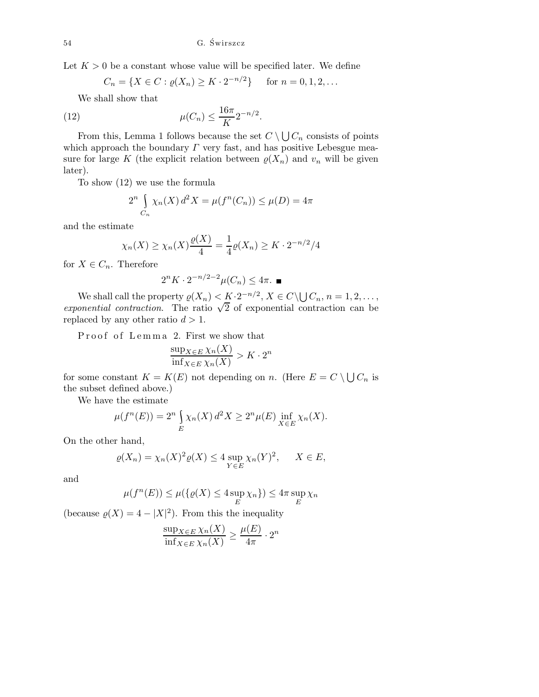Let  $K > 0$  be a constant whose value will be specified later. We define

$$
C_n = \{ X \in C : \varrho(X_n) \ge K \cdot 2^{-n/2} \} \quad \text{for } n = 0, 1, 2, \dots
$$

We shall show that

(12) 
$$
\mu(C_n) \le \frac{16\pi}{K} 2^{-n/2}.
$$

From this, Lemma 1 follows because the set  $C \setminus \bigcup C_n$  consists of points which approach the boundary  $\Gamma$  very fast, and has positive Lebesgue measure for large K (the explicit relation between  $\varrho(X_n)$  and  $v_n$  will be given later).

To show (12) we use the formula

$$
2^{n} \int_{C_{n}} \chi_{n}(X) d^{2} X = \mu(f^{n}(C_{n})) \le \mu(D) = 4\pi
$$

and the estimate

$$
\chi_n(X) \ge \chi_n(X) \frac{\varrho(X)}{4} = \frac{1}{4} \varrho(X_n) \ge K \cdot 2^{-n/2}/4
$$

for  $X \in C_n$ . Therefore

$$
2^{n} K \cdot 2^{-n/2-2} \mu(C_n) \le 4\pi. \blacksquare
$$

We shall call the property  $\varrho(X_n) < K \cdot 2^{-n/2}, X \in C \setminus \bigcup C_n, n = 1, 2, \ldots,$ exponential contraction. The ratio  $\sqrt{2}$  of exponential contraction can be replaced by any other ratio  $d > 1$ .

Proof of Lemma 2. First we show that

$$
\frac{\sup_{X \in E} \chi_n(X)}{\inf_{X \in E} \chi_n(X)} > K \cdot 2^n
$$

for some constant  $K = K(E)$  not depending on n. (Here  $E = C \setminus \bigcup C_n$  is the subset defined above.)

We have the estimate

$$
\mu(f^n(E)) = 2^n \int_E \chi_n(X) d^2 X \ge 2^n \mu(E) \inf_{X \in E} \chi_n(X).
$$

On the other hand,

$$
\varrho(X_n) = \chi_n(X)^2 \varrho(X) \le 4 \sup_{Y \in E} \chi_n(Y)^2, \quad X \in E,
$$

and

$$
\mu(f^n(E)) \le \mu(\lbrace \varrho(X) \le 4 \sup_E \chi_n \rbrace) \le 4\pi \sup_E \chi_n
$$

(because  $\varrho(X) = 4 - |X|^2$ ). From this the inequality

$$
\frac{\sup_{X \in E} \chi_n(X)}{\inf_{X \in E} \chi_n(X)} \ge \frac{\mu(E)}{4\pi} \cdot 2^n
$$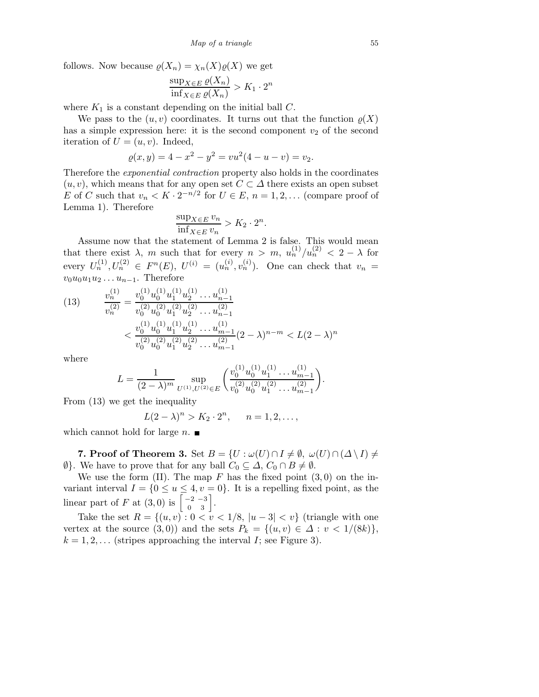follows. Now because  $\varrho(X_n) = \chi_n(X)\varrho(X)$  we get

$$
\frac{\sup_{X \in E} \varrho(X_n)}{\inf_{X \in E} \varrho(X_n)} > K_1 \cdot 2^n
$$

where  $K_1$  is a constant depending on the initial ball C.

We pass to the  $(u, v)$  coordinates. It turns out that the function  $\varrho(X)$ has a simple expression here: it is the second component  $v_2$  of the second iteration of  $U = (u, v)$ . Indeed,

$$
\varrho(x,y) = 4 - x^2 - y^2 = vu^2(4 - u - v) = v_2.
$$

Therefore the exponential contraction property also holds in the coordinates  $(u, v)$ , which means that for any open set  $C \subset \Delta$  there exists an open subset E of C such that  $v_n < K \cdot 2^{-n/2}$  for  $U \in E$ ,  $n = 1, 2, \dots$  (compare proof of Lemma 1). Therefore

$$
\frac{\sup_{X \in E} v_n}{\inf_{X \in E} v_n} > K_2 \cdot 2^n.
$$

Assume now that the statement of Lemma 2 is false. This would mean that there exist  $\lambda$ , m such that for every  $n > m$ ,  $u_n^{(1)}/u_n^{(2)} < 2 - \lambda$  for every  $U_n^{(1)}, U_n^{(2)} \in F^n(E)$ ,  $U^{(i)} = (u_n^{(i)}, v_n^{(i)})$ . One can check that  $v_n =$  $v_0u_0u_1u_2\ldots u_{n-1}$ . Therefore

$$
(13) \qquad \frac{v_n^{(1)}}{v_n^{(2)}} = \frac{v_0^{(1)} u_0^{(1)} u_1^{(1)} u_2^{(1)} \dots u_{n-1}^{(1)}}{v_0^{(2)} u_0^{(2)} u_1^{(2)} u_2^{(2)} \dots u_{n-1}^{(2)}}
$$

$$
< \frac{v_0^{(1)} u_0^{(1)} u_1^{(1)} u_2^{(1)} \dots u_{m-1}^{(1)}}{v_0^{(2)} u_0^{(2)} u_1^{(2)} u_2^{(2)} \dots u_{m-1}^{(2)}} (2 - \lambda)^{n-m} < L(2 - \lambda)^n
$$

where

$$
L = \frac{1}{(2-\lambda)^m} \sup_{U^{(1)}, U^{(2)} \in E} \left( \frac{v_0^{(1)} u_0^{(1)} u_1^{(1)} \dots u_{m-1}^{(1)}}{v_0^{(2)} u_0^{(2)} u_1^{(2)} \dots u_{m-1}^{(2)}} \right).
$$

From (13) we get the inequality

$$
L(2 - \lambda)^n > K_2 \cdot 2^n
$$
,  $n = 1, 2, ...$ ,

which cannot hold for large  $n$ .

7. Proof of Theorem 3. Set  $B = \{U : \omega(U) \cap I \neq \emptyset, \omega(U) \cap (\Delta \setminus I) \neq \emptyset\}$  $\emptyset$ . We have to prove that for any ball  $C_0 \subseteq \Delta$ ,  $C_0 \cap B \neq \emptyset$ .

We use the form (II). The map  $F$  has the fixed point  $(3,0)$  on the invariant interval  $I = \{0 \le u \le 4, v = 0\}$ . It is a repelling fixed point, as the linear part of F at  $(3,0)$  is  $\begin{bmatrix} -2 & -3 \\ 0 & 3 \end{bmatrix}$ .

Take the set  $R = \{(u, v): 0 < v < 1/8, |u - 3| < v\}$  (triangle with one vertex at the source  $(3,0)$  and the sets  $P_k = \{(u,v) \in \Delta : v < 1/(8k)\},\$  $k = 1, 2, \ldots$  (stripes approaching the interval *I*; see Figure 3).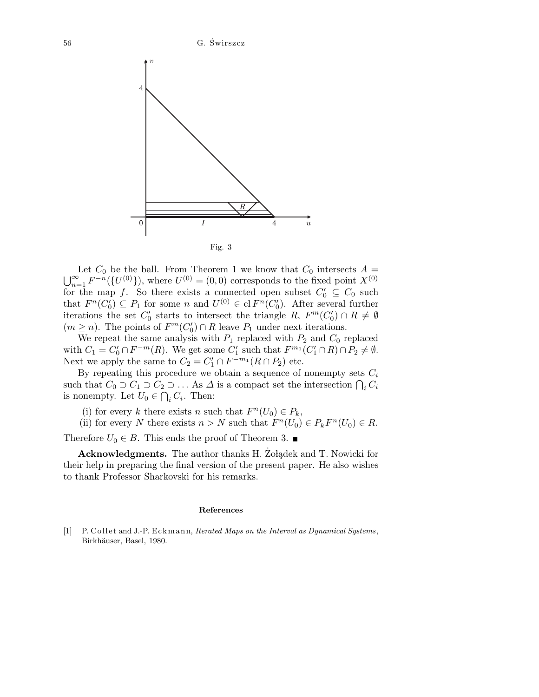

Let  $C_0$  be the ball. From Theorem 1 we know that  $C_0$  intersects  $A =$  $\bigcup_{n=1}^{\infty} F^{-n}(\lbrace U^{(0)} \rbrace)$ , where  $U^{(0)} = (0,0)$  corresponds to the fixed point  $X^{(0)}$ for the map f. So there exists a connected open subset  $C'_0 \subseteq C_0$  such that  $F^n(C_0') \subseteq P_1$  for some n and  $U^{(0)} \in \text{cl } F^n(C_0')$ . After several further iterations the set  $C'_0$  starts to intersect the triangle  $R$ ,  $F^m(C'_0) \cap R \neq \emptyset$  $(m \geq n)$ . The points of  $F^m(C'_0) \cap R$  leave  $P_1$  under next iterations.

We repeat the same analysis with  $P_1$  replaced with  $P_2$  and  $C_0$  replaced with  $C_1 = C'_0 \cap F^{-m}(R)$ . We get some  $C'_1$  such that  $F^{m_1}(C'_1 \cap R) \cap P_2 \neq \emptyset$ . Next we apply the same to  $C_2 = C'_1 \cap F^{-m_1}(R \cap P_2)$  etc.

By repeating this procedure we obtain a sequence of nonempty sets  $C_i$ such that  $C_0 \supset C_1 \supset C_2 \supset \ldots$  As  $\Delta$  is a compact set the intersection  $\bigcap_i C_i$ is nonempty. Let  $U_0 \in \bigcap_i C_i$ . Then:

(i) for every k there exists n such that  $F^n(U_0) \in P_k$ ,

(ii) for every N there exists  $n > N$  such that  $F^n(U_0) \in P_k F^n(U_0) \in R$ .

Therefore  $U_0 \in B$ . This ends the proof of Theorem 3.

Acknowledgments. The author thanks H. Zolądek and T. Nowicki for their help in preparing the final version of the present paper. He also wishes to thank Professor Sharkovski for his remarks.

## **References**

[1] P. Collet and J.-P. Eckmann, *Iterated Maps on the Interval as Dynamical Systems*, Birkhäuser, Basel, 1980.